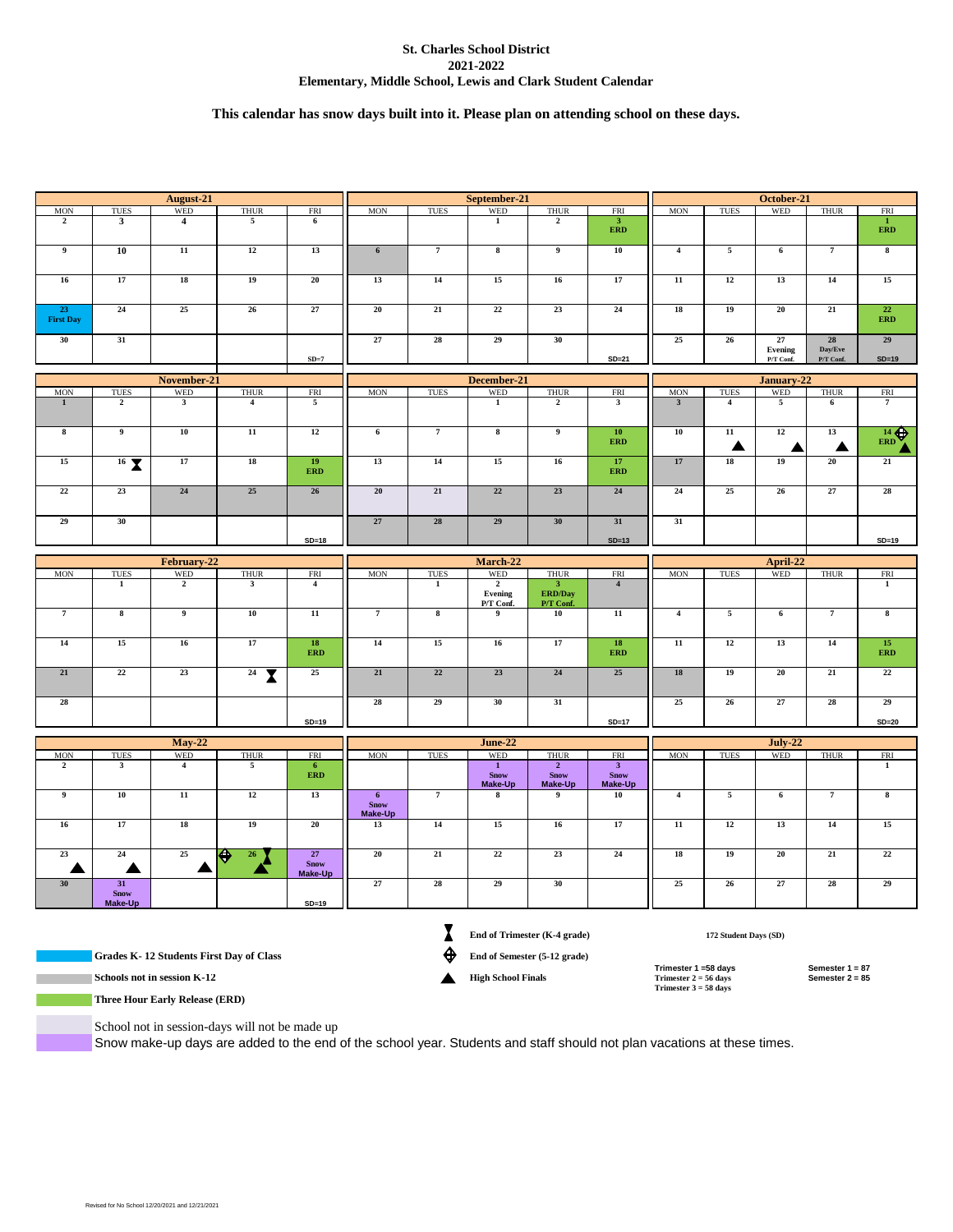## **St. Charles School District 2021-2022 Elementary, Middle School, Lewis and Clark Student Calendar**

# **This calendar has snow days built into it. Please plan on attending school on these days.**

| August-21                                                                    |                              |                |                         | September-21                                                                 |                                                              |                         |                                                 | October-21                                                                  |                                                          |                                                                                         |                 |                            |                                                        |                                      |
|------------------------------------------------------------------------------|------------------------------|----------------|-------------------------|------------------------------------------------------------------------------|--------------------------------------------------------------|-------------------------|-------------------------------------------------|-----------------------------------------------------------------------------|----------------------------------------------------------|-----------------------------------------------------------------------------------------|-----------------|----------------------------|--------------------------------------------------------|--------------------------------------|
| <b>MON</b>                                                                   | <b>TUES</b>                  | <b>WED</b>     | <b>THUR</b>             | FRI                                                                          | <b>MON</b>                                                   | <b>TUES</b>             | WED                                             | <b>THUR</b>                                                                 | <b>FRI</b>                                               | <b>MON</b>                                                                              | <b>TUES</b>     | WED                        | <b>THUR</b>                                            | <b>FRI</b>                           |
| $\overline{2}$                                                               | $\mathbf{3}$                 | $\overline{4}$ | 5                       | 6                                                                            |                                                              |                         | $\mathbf{1}$                                    | $\mathbf{2}$                                                                | $\boldsymbol{3}$<br><b>ERD</b>                           |                                                                                         |                 |                            |                                                        | $\mathbf{I}$<br><b>ERD</b>           |
| 9                                                                            | 10                           | 11             | 12                      | 13                                                                           | $6\phantom{.}$                                               | $7\phantom{.0}$         | $\bf8$                                          | 9                                                                           | ${\bf 10}$                                               | $\overline{\mathbf{4}}$                                                                 | 5               | 6                          | $\overline{7}$                                         | 8                                    |
| 16                                                                           | 17                           | 18             | 19                      | 20                                                                           | 13                                                           | 14                      | 15                                              | 16                                                                          | 17                                                       | $\overline{11}$                                                                         | 12              | 13                         | 14                                                     | 15                                   |
| 23<br><b>First Day</b>                                                       | 24                           | 25             | 26                      | 27                                                                           | 20                                                           | 21                      | 22                                              | 23                                                                          | 24                                                       | 18                                                                                      | 19              | 20                         | 21                                                     | 22<br><b>ERD</b>                     |
| 30                                                                           | 31                           |                |                         |                                                                              | 27                                                           | 28                      | 29                                              | 30                                                                          | $SD = 21$                                                | 25                                                                                      | 26              | 27<br>Evening<br>P/T Conf. | ${\bf 28}$<br>$\mathbf{Day}/\mathbf{Eve}$<br>P/T Conf. | 29<br>$SD=19$                        |
| $SD=7$                                                                       |                              |                |                         |                                                                              |                                                              |                         |                                                 |                                                                             |                                                          |                                                                                         |                 |                            |                                                        |                                      |
| November-21<br><b>WED</b><br><b>TUES</b><br><b>THUR</b><br>FRI<br>$\rm{MON}$ |                              |                |                         | December-21<br>WED<br><b>MON</b><br><b>TUES</b><br><b>THUR</b><br><b>FRI</b> |                                                              |                         |                                                 | January-22<br>WED<br><b>TUES</b><br><b>THUR</b><br><b>FRI</b><br><b>MON</b> |                                                          |                                                                                         |                 |                            |                                                        |                                      |
| $\mathbf{1}$                                                                 | $\overline{2}$               | $\mathbf{3}$   | $\overline{\mathbf{4}}$ | 5                                                                            |                                                              |                         | $\mathbf{1}$                                    | $\overline{2}$                                                              | $\mathbf{3}$                                             | $\mathbf{3}$                                                                            | $\overline{4}$  | 5                          | 6                                                      | $\overline{7}$                       |
| 8                                                                            | 9                            | ${\bf 10}$     | ${\bf 11}$              | 12                                                                           | 6                                                            | $\overline{7}$          | $\bf8$                                          | 9                                                                           | 10                                                       | ${\bf 10}$                                                                              | ${\bf 11}$      | 12                         | 13                                                     |                                      |
| 15                                                                           |                              | 17             | ${\bf 18}$              | 19                                                                           | 13                                                           | $14\,$                  | $15\,$                                          | $16\,$                                                                      | <b>ERD</b><br>$17\,$                                     | $17\,$                                                                                  | ▲<br>${\bf 18}$ | ▲<br>19                    | ▲<br>${\bf 20}$                                        | $\frac{14}{\text{ERD}}$<br>$\bf{21}$ |
|                                                                              | $16\text{ X}$                | 24             |                         | <b>ERD</b>                                                                   |                                                              |                         | 22                                              |                                                                             | <b>ERD</b>                                               |                                                                                         |                 |                            |                                                        |                                      |
| 22                                                                           | 23                           |                | 25                      | 26                                                                           | 20                                                           | 21                      |                                                 | 23                                                                          | 24                                                       | 24                                                                                      | 25              | 26                         | 27                                                     | 28                                   |
| 29                                                                           | 30                           |                |                         |                                                                              | 27                                                           | 28                      | 29                                              | 30                                                                          | 31                                                       | 31                                                                                      |                 |                            |                                                        |                                      |
|                                                                              |                              |                |                         | $SD=18$                                                                      |                                                              |                         |                                                 |                                                                             | $SD=13$                                                  |                                                                                         |                 |                            |                                                        | $SD=19$                              |
|                                                                              |                              | February-22    |                         |                                                                              | March-22                                                     |                         |                                                 |                                                                             | April-22                                                 |                                                                                         |                 |                            |                                                        |                                      |
| <b>MON</b>                                                                   | <b>TUES</b>                  | <b>WED</b>     | <b>THUR</b>             | <b>FRI</b>                                                                   | <b>MON</b>                                                   | <b>TUES</b>             | <b>WED</b>                                      | <b>THUR</b>                                                                 | <b>FRI</b>                                               | <b>MON</b>                                                                              | <b>TUES</b>     | WED                        | <b>THUR</b>                                            | <b>FRI</b>                           |
|                                                                              | $\mathbf{1}$                 | $\overline{2}$ | $\mathbf{3}$            | $\overline{4}$                                                               |                                                              | $\mathbf{1}$            | $\overline{2}$<br>Evening<br>P/T Conf.          | $\mathbf{3}$<br><b>ERD/Day</b><br>P/T Conf.                                 | $\overline{\mathbf{4}}$                                  |                                                                                         |                 |                            |                                                        | $\mathbf{1}$                         |
| $\overline{7}$                                                               | $\overline{\mathbf{8}}$      | $\overline{9}$ | ${\bf 10}$              | $\overline{11}$                                                              | $\overline{7}$                                               | $\overline{\mathbf{8}}$ | 9                                               | 10                                                                          | ${\bf 11}$                                               | $\overline{\mathbf{4}}$                                                                 | $\sqrt{5}$      | 6                          | $\overline{7}$                                         | $\bf{8}$                             |
| ${\bf 14}$                                                                   | 15                           | 16             | 17                      | ${\bf 18}$<br><b>ERD</b>                                                     | 14                                                           | $15\,$                  | 16                                              | $17\,$                                                                      | ${\bf 18}$<br><b>ERD</b>                                 | ${\bf 11}$                                                                              | $12\,$          | 13                         | $14\,$                                                 | $15\,$<br><b>ERD</b>                 |
| 21                                                                           | 22                           | 23             | $24$ $\sqrt{ }$         | 25                                                                           | 21                                                           | 22                      | 23                                              | 24                                                                          | 25                                                       | 18                                                                                      | 19              | 20                         | 21                                                     | 22                                   |
| 28                                                                           |                              |                |                         |                                                                              | 28                                                           | 29                      | 30                                              | 31                                                                          |                                                          | 25                                                                                      | 26              | 27                         | 28                                                     | 29                                   |
|                                                                              |                              |                |                         | $SD=19$                                                                      |                                                              |                         |                                                 |                                                                             | $SD=17$                                                  |                                                                                         |                 |                            |                                                        | $SD = 20$                            |
|                                                                              |                              | <b>May-22</b>  |                         |                                                                              |                                                              |                         | <b>June-22</b>                                  |                                                                             |                                                          | $July-22$                                                                               |                 |                            |                                                        |                                      |
| <b>MON</b>                                                                   | <b>TUES</b>                  | <b>WED</b>     | <b>THUR</b>             | <b>FRI</b>                                                                   | <b>MON</b>                                                   | <b>TUES</b>             | <b>WED</b>                                      | <b>THUR</b>                                                                 | <b>FRI</b>                                               | <b>MON</b>                                                                              | <b>TUES</b>     | <b>WED</b>                 | <b>THUR</b>                                            | <b>FRI</b>                           |
| $\overline{2}$                                                               | $\overline{\mathbf{3}}$      | $\overline{4}$ | $\overline{\mathbf{5}}$ | 6<br>ERD                                                                     |                                                              |                         | $\overline{1}$<br><b>Snow</b><br><b>Make-Up</b> | $\overline{2}$<br><b>Snow</b><br><b>Make-Up</b>                             | $\overline{\mathbf{3}}$<br><b>Snow</b><br><b>Make-Up</b> |                                                                                         |                 |                            |                                                        | $\overline{1}$                       |
| $\boldsymbol{9}$                                                             | ${\bf 10}$                   | $11\,$         | $12\,$                  | 13                                                                           | 6 <sup>1</sup><br><b>Snow</b><br>Make-Up                     | $\scriptstyle\rm 7$     | 8                                               | $\boldsymbol{9}$                                                            | 10                                                       | $\overline{\mathbf{4}}$                                                                 | 5               | 6                          | $\overline{7}$                                         | $\bf8$                               |
| $16\phantom{.}$                                                              | 17                           | 18             | 19                      | 20                                                                           | 13                                                           | $14\,$                  | 15                                              | $16\,$                                                                      | 17                                                       | $11\,$                                                                                  | 12              | 13                         | 14                                                     | 15                                   |
| 23<br>▲                                                                      | $\bf 24$<br>▲                | 25             | ♦<br>26                 | 27<br><b>Snow</b><br>Make-Up                                                 | ${\bf 20}$                                                   | 21                      | 22                                              | 23                                                                          | $\bf 24$                                                 | ${\bf 18}$                                                                              | 19              | 20                         | $\bf{21}$                                              | $22\,$                               |
| 30 <sup>°</sup>                                                              | 31<br><b>Snow</b><br>Make-Up |                |                         | $SD=19$                                                                      | 27                                                           | 28                      | 29                                              | 30                                                                          |                                                          | 25                                                                                      | 26              | $27\,$                     | 28                                                     | 29                                   |
|                                                                              |                              |                |                         |                                                                              |                                                              |                         |                                                 |                                                                             |                                                          |                                                                                         |                 |                            |                                                        |                                      |
| Grades K-12 Students First Day of Class                                      |                              |                |                         |                                                                              | End of Trimester (K-4 grade)<br>End of Semester (5-12 grade) |                         |                                                 | 172 Student Days (SD)                                                       |                                                          |                                                                                         |                 |                            |                                                        |                                      |
|                                                                              | Schools not in session K-12  |                |                         |                                                                              |                                                              |                         | <b>High School Finals</b>                       |                                                                             |                                                          | Trimester 1 =58 days<br>Semester 1 = 87<br>Trimester $2 = 56$ days<br>Semester $2 = 85$ |                 |                            |                                                        |                                      |
| <b>Three Hour Early Release (ERD)</b>                                        |                              |                |                         |                                                                              |                                                              |                         |                                                 |                                                                             |                                                          | Trimester $3 = 58$ days                                                                 |                 |                            |                                                        |                                      |

School not in session-days will not be made up

Snow make-up days are added to the end of the school year. Students and staff should not plan vacations at these times.